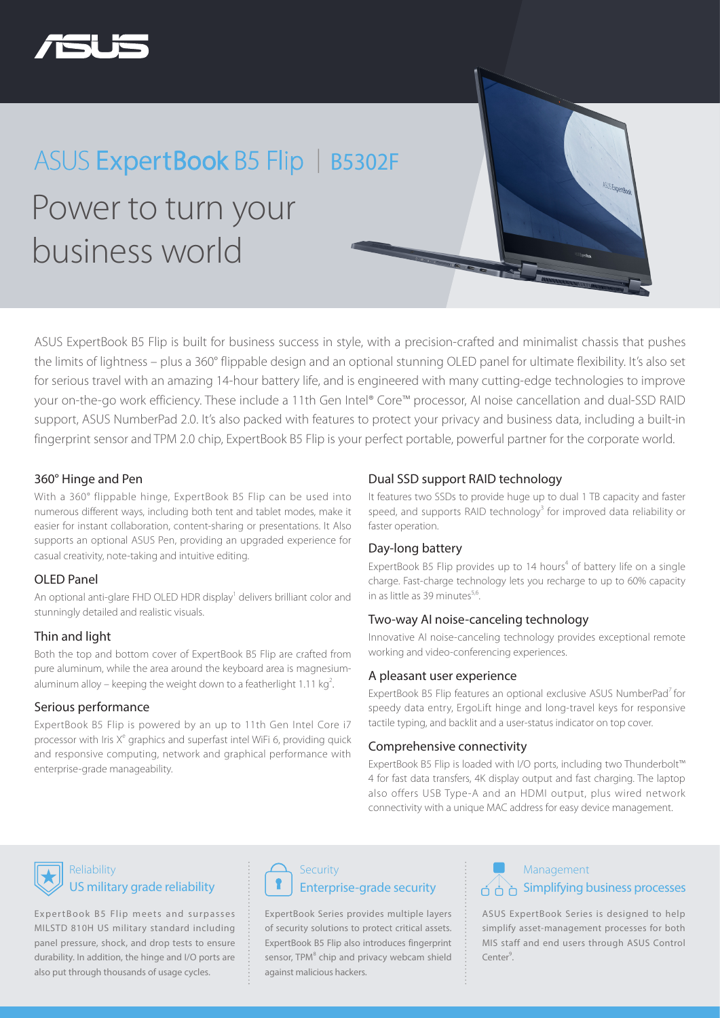

# ASUS ExpertBook B5 Flip | B5302F Power to turn your business world

ASUS ExpertBook B5 Flip is built for business success in style, with a precision-crafted and minimalist chassis that pushes the limits of lightness – plus a 360° flippable design and an optional stunning OLED panel for ultimate flexibility. It's also set for serious travel with an amazing 14-hour battery life, and is engineered with many cutting-edge technologies to improve your on-the-go work efficiency. These include a 11th Gen Intel® Core™ processor, AI noise cancellation and dual-SSD RAID support, ASUS NumberPad 2.0. It's also packed with features to protect your privacy and business data, including a built-in fingerprint sensor and TPM 2.0 chip, ExpertBook B5 Flip is your perfect portable, powerful partner for the corporate world.

#### 360° Hinge and Pen

With a 360° flippable hinge, ExpertBook B5 Flip can be used into numerous different ways, including both tent and tablet modes, make it easier for instant collaboration, content-sharing or presentations. It Also supports an optional ASUS Pen, providing an upgraded experience for casual creativity, note-taking and intuitive editing.

#### OLED Panel

An optional anti-glare FHD OLED HDR display<sup>1</sup> delivers brilliant color and stunningly detailed and realistic visuals.

#### Thin and light

Both the top and bottom cover of ExpertBook B5 Flip are crafted from pure aluminum, while the area around the keyboard area is magnesiumaluminum alloy – keeping the weight down to a featherlight 1.11 kg<sup>2</sup>. .

#### Serious performance

ExpertBook B5 Flip is powered by an up to 11th Gen Intel Core i7 processor with Iris  $X^e$  graphics and superfast intel WiFi 6, providing quick and responsive computing, network and graphical performance with enterprise-grade manageability.

#### Dual SSD support RAID technology

It features two SSDs to provide huge up to dual 1 TB capacity and faster speed, and supports RAID technology<sup>3</sup> for improved data reliability or faster operation.

#### Day-long battery

ExpertBook B5 Flip provides up to 14 hours<sup>4</sup> of battery life on a single charge. Fast-charge technology lets you recharge to up to 60% capacity in as little as 39 minutes $5.6$ .

#### Two-way AI noise-canceling technology

Innovative AI noise-canceling technology provides exceptional remote working and video-conferencing experiences.

#### A pleasant user experience

ExpertBook B5 Flip features an optional exclusive ASUS NumberPad<sup>7</sup> for speedy data entry, ErgoLift hinge and long-travel keys for responsive tactile typing, and backlit and a user-status indicator on top cover.

#### Comprehensive connectivity

ExpertBook B5 Flip is loaded with I/O ports, including two Thunderbolt™ 4 for fast data transfers, 4K display output and fast charging. The laptop also offers USB Type-A and an HDMI output, plus wired network connectivity with a unique MAC address for easy device management.

### Reliability

### US military grade reliability

ExpertBook B5 Flip meets and surpasses MILSTD 810H US military standard including panel pressure, shock, and drop tests to ensure durability. In addition, the hinge and I/O ports are also put through thousands of usage cycles.



ExpertBook Series provides multiple layers of security solutions to protect critical assets. ExpertBook B5 Flip also introduces fingerprint sensor, TPM<sup>8</sup> chip and privacy webcam shield against malicious hackers.

### Management  $\overrightarrow{B}$   $\overrightarrow{B}$  Simplifying business processes

ASUS ExpertBook Series is designed to help simplify asset-management processes for both MIS staff and end users through ASUS Control Center<sup>9</sup>.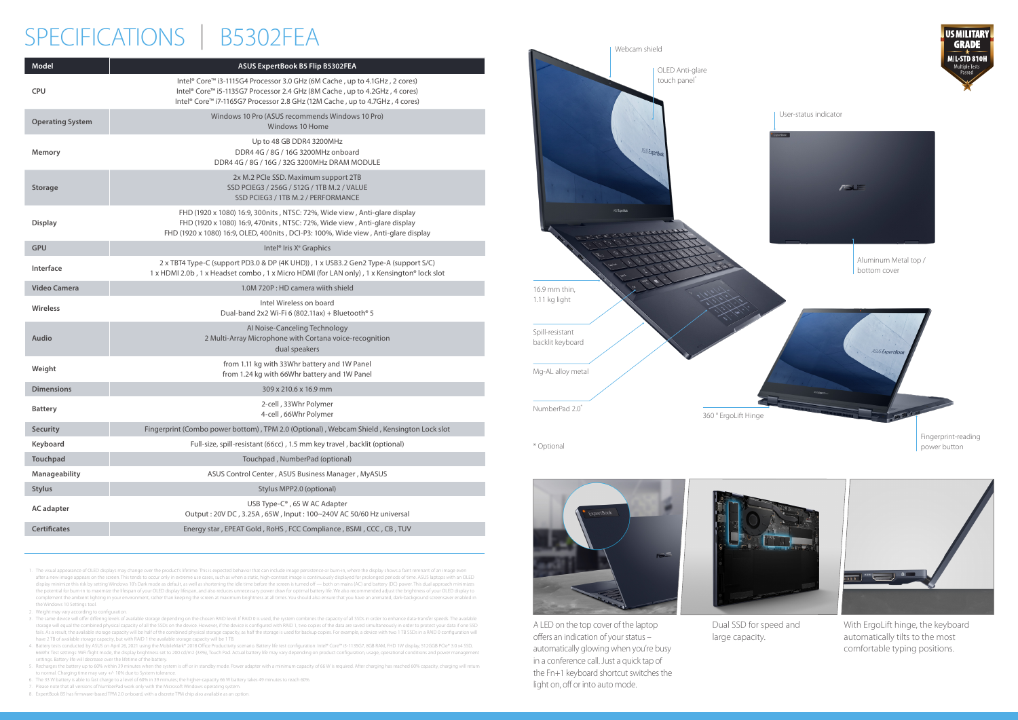ual appearance of OLED displays may change over the product's lifetime. This is expected behavior that can include image persistence or burn-in, where the display shows a faint remnant of an image even after a new image appears on the screen. This tends to occur only in extreme use cases, such as when a static, high-contrast image is continuously displayed for prolonged periods of time. ASUS laptops with an OLED display minimize this risk by setting Windows 10's Dark mode as default, as well as shortening the idle time before the screen is turned off — both on mains (AC) and battery (DC) power. This dual approach minimizes the potential for burn-in to maximize the lifespan of your OLED display lifespan, and also reduces unnecessary power draw for optimal battery life. We also recommended adjust the brightness of your OLED display to complement the ambient lighting in your environment, rather than keeping the screen at maximum brightness at all times. You should also ensure that you have an animated, dark-background screensaver enabled in the Windows 10 Settings tool.

Weight may vary according to configuration

. The same device will offer differing levels of available storage depending on the chosen RAID level. If RAID 0 is used, the system combines the capacity of all SSDs in order to enhance data-transfer speeds. The available storage will equal the combined physical capacity of all the SSDs on the device. However, if the device is configured with RAID 1, two copies of the data are saved simultaneously in order to protect your data if one SSD fails. As a result, the available storage capacity will be half of the combined physical storage capacity, as half the storage is used for backup copies. For example, a device with two 1 TB SSDs in a RAID 0 configuration w have 2 TB of available storage capacity, but with RAID 1 the available storage capacity will be 1 TB.

. Recharges the battery up to 60% within 39 minutes when the system is off or in standby mode. Power adapter with a minimum capacity of 66 W is required. After charging has reached 60% capacity, charging will return to normal. Charging time may vary +/- 10% due to System tolerance.

# SPECIFICATIONS | B5302FEA

4. Battery tests conducted by ASUS on April 26, 2021 using the MobileMark® 2018 Office Productivity scenario. Battery life test configuration: Intel® Core™ i5-1135G7, 8GB RAM, FHD 1W display, 512GGB PCIe® 3.0 x4 SSD, 66Whr. Test settings: WiFi flight mode, the display brightness set to 200 cd/m2 (33%), Touch Pad. Actual battery life may vary depending on product configuration, usage, operational conditions and power management settings. Battery life will decrease over the lifetime of the battery.

6. The 33 W battery is able to fast charge to a level of 60% in 39 minutes; the higher-capacity 66 W battery takes 49 minutes to reach 60%.

7. Please note that all versions of NumberPad work only with the Microsoft Windows operating system.

8. ExpertBook B5 has firmware-based TPM 2.0 onboard, with a discrete TPM chip also available as an option.

| <b>Model</b>            | ASUS ExpertBook B5 Flip B5302FEA                                                                                                                                                                                                             |
|-------------------------|----------------------------------------------------------------------------------------------------------------------------------------------------------------------------------------------------------------------------------------------|
| <b>CPU</b>              | Intel® Core™ i3-1115G4 Processor 3.0 GHz (6M Cache, up to 4.1GHz, 2 cores)<br>Intel® Core™ i5-1135G7 Processor 2.4 GHz (8M Cache, up to 4.2GHz, 4 cores)<br>Intel® Core™ i7-1165G7 Processor 2.8 GHz (12M Cache, up to 4.7GHz, 4 cores)      |
| <b>Operating System</b> | Windows 10 Pro (ASUS recommends Windows 10 Pro)<br>Windows 10 Home                                                                                                                                                                           |
| Memory                  | Up to 48 GB DDR4 3200MHz<br>DDR4 4G / 8G / 16G 3200MHz onboard<br>DDR4 4G / 8G / 16G / 32G 3200MHz DRAM MODULE                                                                                                                               |
| <b>Storage</b>          | 2x M.2 PCIe SSD. Maximum support 2TB<br>SSD PCIEG3 / 256G / 512G / 1TB M.2 / VALUE<br>SSD PCIEG3 / 1TB M.2 / PERFORMANCE                                                                                                                     |
| <b>Display</b>          | FHD (1920 x 1080) 16:9, 300nits, NTSC: 72%, Wide view, Anti-glare display<br>FHD (1920 x 1080) 16:9, 470nits, NTSC: 72%, Wide view, Anti-glare display<br>FHD (1920 x 1080) 16:9, OLED, 400nits, DCI-P3: 100%, Wide view, Anti-glare display |
| <b>GPU</b>              | Intel <sup>®</sup> Iris X <sup>e</sup> Graphics                                                                                                                                                                                              |
| Interface               | 2 x TBT4 Type-C (support PD3.0 & DP (4K UHD)), 1 x USB3.2 Gen2 Type-A (support S/C)<br>1 x HDMI 2.0b, 1 x Headset combo, 1 x Micro HDMI (for LAN only), 1 x Kensington® lock slot                                                            |
| <b>Video Camera</b>     | 1.0M 720P : HD camera wiith shield                                                                                                                                                                                                           |
| <b>Wireless</b>         | Intel Wireless on board<br>Dual-band 2x2 Wi-Fi 6 (802.11ax) + Bluetooth® 5                                                                                                                                                                   |
| Audio                   | Al Noise-Canceling Technology<br>2 Multi-Array Microphone with Cortana voice-recognition<br>dual speakers                                                                                                                                    |
| Weight                  | from 1.11 kg with 33Whr battery and 1W Panel<br>from 1.24 kg with 66Whr battery and 1W Panel                                                                                                                                                 |
| <b>Dimensions</b>       | 309 x 210.6 x 16.9 mm                                                                                                                                                                                                                        |
| <b>Battery</b>          | 2-cell, 33Whr Polymer<br>4-cell, 66Whr Polymer                                                                                                                                                                                               |
| <b>Security</b>         | Fingerprint (Combo power bottom), TPM 2.0 (Optional), Webcam Shield, Kensington Lock slot                                                                                                                                                    |
| Keyboard                | Full-size, spill-resistant (66cc), 1.5 mm key travel, backlit (optional)                                                                                                                                                                     |
| Touchpad                | Touchpad, NumberPad (optional)                                                                                                                                                                                                               |
| Manageability           | ASUS Control Center, ASUS Business Manager, MyASUS                                                                                                                                                                                           |
| <b>Stylus</b>           | Stylus MPP2.0 (optional)                                                                                                                                                                                                                     |
| <b>AC</b> adapter       | USB Type-C <sup>®</sup> , 65 W AC Adapter<br>Output: 20V DC, 3.25A, 65W, Input: 100~240V AC 50/60 Hz universal                                                                                                                               |
| <b>Certificates</b>     | Energy star, EPEAT Gold, RoHS, FCC Compliance, BSMI, CCC, CB, TUV                                                                                                                                                                            |

A LED on the top cover of the laptop offers an indication of your status – automatically glowing when you're busy in a conference call. Just a quick tap of the Fn+1 keyboard shortcut switches the light on, off or into auto mode.



With ErgoLift hinge, the keyboard automatically tilts to the most comfortable typing positions.

Dual SSD for speed and large capacity.